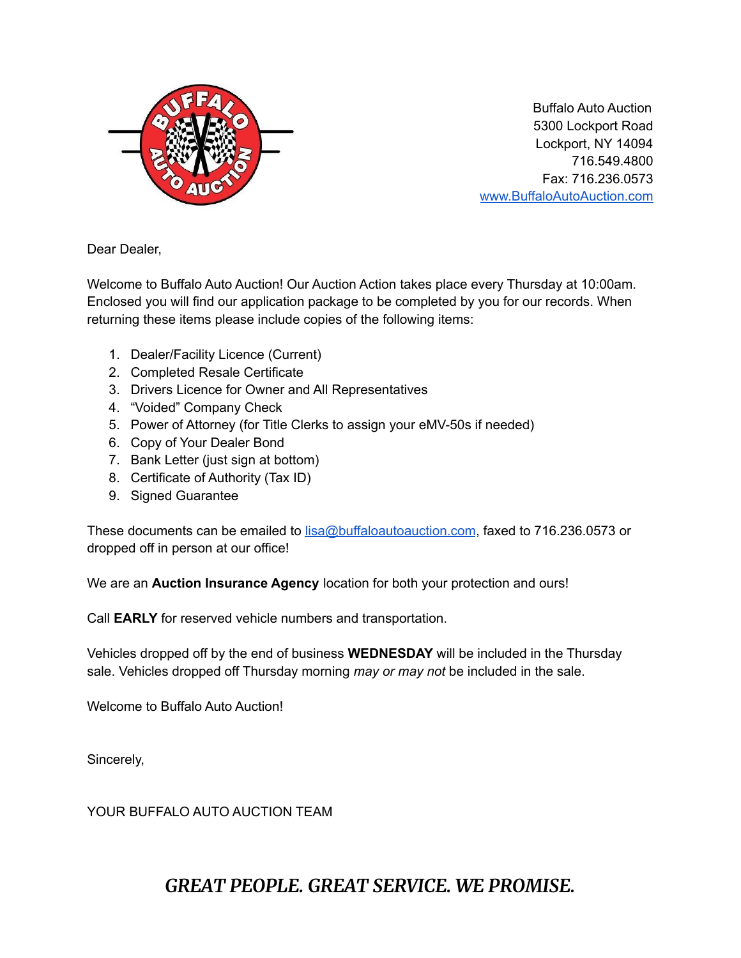

Buffalo Auto Auction 5300 Lockport Road Lockport, NY 14094 716.549.4800 Fax: 716.236.0573 [www.BuffaloAutoAuction.com](http://www.buffaloautoauction.com)

Dear Dealer,

Welcome to Buffalo Auto Auction! Our Auction Action takes place every Thursday at 10:00am. Enclosed you will find our application package to be completed by you for our records. When returning these items please include copies of the following items:

- 1. Dealer/Facility Licence (Current)
- 2. Completed Resale Certificate
- 3. Drivers Licence for Owner and All Representatives
- 4. "Voided" Company Check
- 5. Power of Attorney (for Title Clerks to assign your eMV-50s if needed)
- 6. Copy of Your Dealer Bond
- 7. Bank Letter (just sign at bottom)
- 8. Certificate of Authority (Tax ID)
- 9. Signed Guarantee

These documents can be emailed to **[lisa@buffaloautoauction.com](mailto:lisa@buffaloautoauction.com)**, faxed to 716.236.0573 or dropped off in person at our office!

We are an **Auction Insurance Agency** location for both your protection and ours!

Call **EARLY** for reserved vehicle numbers and transportation.

Vehicles dropped off by the end of business **WEDNESDAY** will be included in the Thursday sale. Vehicles dropped off Thursday morning *may or may not* be included in the sale.

Welcome to Buffalo Auto Auction!

Sincerely,

YOUR BUFFALO AUTO AUCTION TEAM

#### *GREAT PEOPLE. GREAT SERVICE. WE PROMISE.*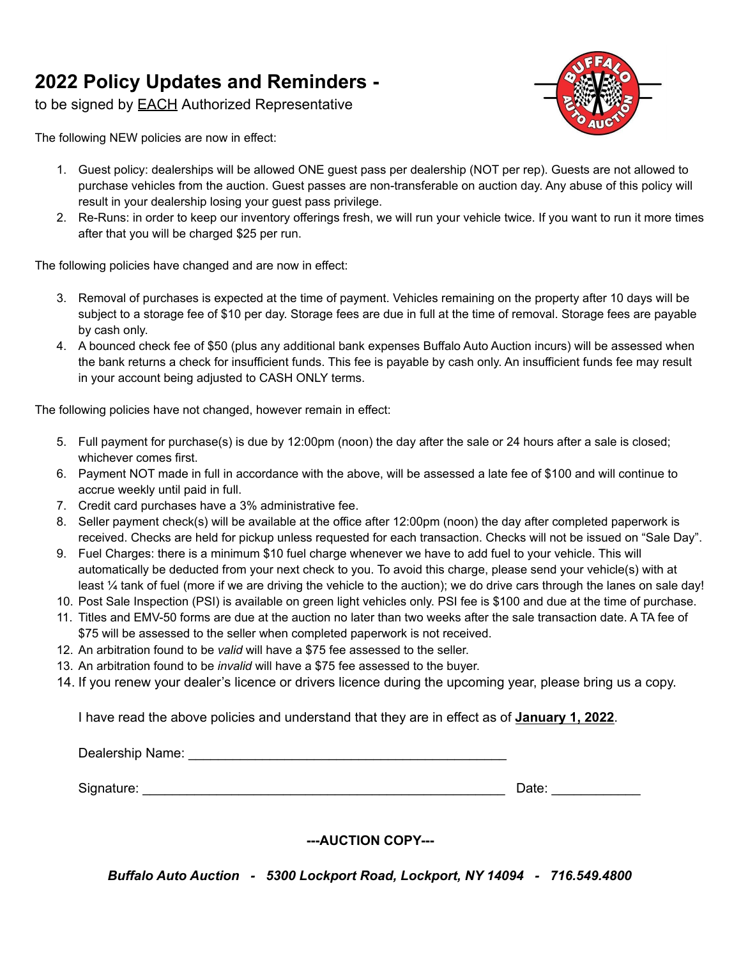#### **2022 Policy Updates and Reminders -**

to be signed by **EACH** Authorized Representative

The following NEW policies are now in effect:

- 1. Guest policy: dealerships will be allowed ONE guest pass per dealership (NOT per rep). Guests are not allowed to purchase vehicles from the auction. Guest passes are non-transferable on auction day. Any abuse of this policy will result in your dealership losing your guest pass privilege.
- 2. Re-Runs: in order to keep our inventory offerings fresh, we will run your vehicle twice. If you want to run it more times after that you will be charged \$25 per run.

The following policies have changed and are now in effect:

- 3. Removal of purchases is expected at the time of payment. Vehicles remaining on the property after 10 days will be subject to a storage fee of \$10 per day. Storage fees are due in full at the time of removal. Storage fees are payable by cash only.
- 4. A bounced check fee of \$50 (plus any additional bank expenses Buffalo Auto Auction incurs) will be assessed when the bank returns a check for insufficient funds. This fee is payable by cash only. An insufficient funds fee may result in your account being adjusted to CASH ONLY terms.

The following policies have not changed, however remain in effect:

- 5. Full payment for purchase(s) is due by 12:00pm (noon) the day after the sale or 24 hours after a sale is closed; whichever comes first.
- 6. Payment NOT made in full in accordance with the above, will be assessed a late fee of \$100 and will continue to accrue weekly until paid in full.
- 7. Credit card purchases have a 3% administrative fee.
- 8. Seller payment check(s) will be available at the office after 12:00pm (noon) the day after completed paperwork is received. Checks are held for pickup unless requested for each transaction. Checks will not be issued on "Sale Day".
- 9. Fuel Charges: there is a minimum \$10 fuel charge whenever we have to add fuel to your vehicle. This will automatically be deducted from your next check to you. To avoid this charge, please send your vehicle(s) with at least ¼ tank of fuel (more if we are driving the vehicle to the auction); we do drive cars through the lanes on sale day!
- 10. Post Sale Inspection (PSI) is available on green light vehicles only. PSI fee is \$100 and due at the time of purchase.
- 11. Titles and EMV-50 forms are due at the auction no later than two weeks after the sale transaction date. A TA fee of \$75 will be assessed to the seller when completed paperwork is not received.
- 12. An arbitration found to be *valid* will have a \$75 fee assessed to the seller.
- 13. An arbitration found to be *invalid* will have a \$75 fee assessed to the buyer.
- 14. If you renew your dealer's licence or drivers licence during the upcoming year, please bring us a copy.

I have read the above policies and understand that they are in effect as of **January 1, 2022**.

Dealership Name: **Example 20** and the contract of the contract of the contract of the contract of the contract of the contract of the contract of the contract of the contract of the contract of the contract of the contract Signature: \_\_\_\_\_\_\_\_\_\_\_\_\_\_\_\_\_\_\_\_\_\_\_\_\_\_\_\_\_\_\_\_\_\_\_\_\_\_\_\_\_\_\_\_\_\_\_\_\_ Date: \_\_\_\_\_\_\_\_\_\_\_\_

**---AUCTION COPY---**

*Buffalo Auto Auction - 5300 Lockport Road, Lockport, NY 14094 - 716.549.4800*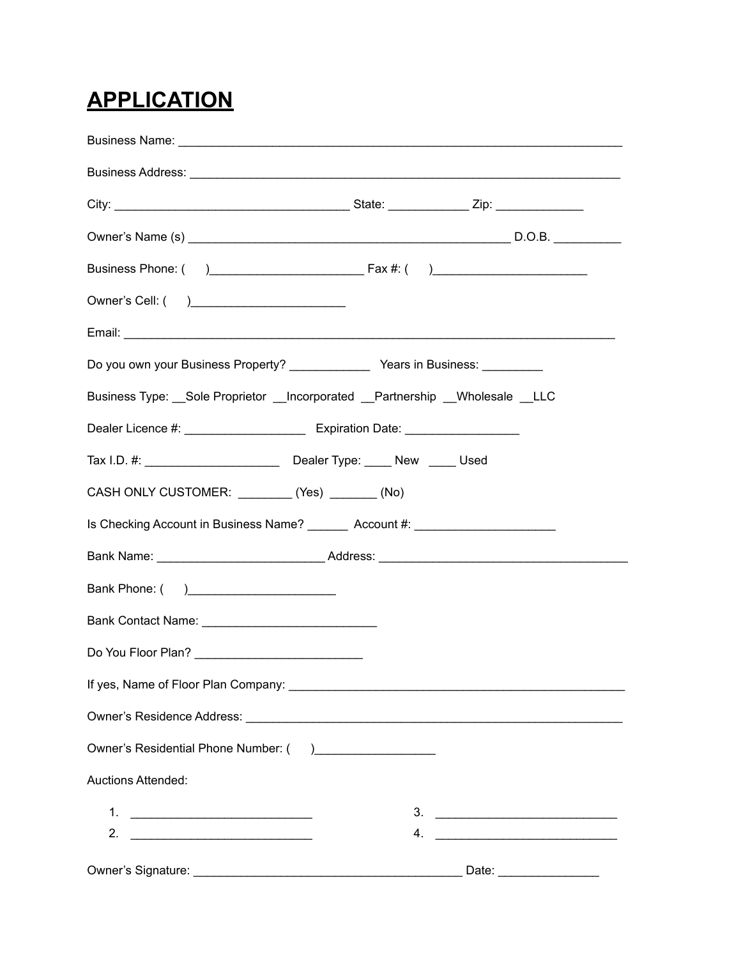# **APPLICATION**

| Do you own your Business Property? _________________ Years in Business: _________                                                                                                                                                                                                                                      |                                                                                                                                                                                                                                |
|------------------------------------------------------------------------------------------------------------------------------------------------------------------------------------------------------------------------------------------------------------------------------------------------------------------------|--------------------------------------------------------------------------------------------------------------------------------------------------------------------------------------------------------------------------------|
| Business Type: Sole Proprietor __Incorporated __Partnership __Wholesale __LLC                                                                                                                                                                                                                                          |                                                                                                                                                                                                                                |
| Dealer Licence #: ___________________________ Expiration Date: _________________                                                                                                                                                                                                                                       |                                                                                                                                                                                                                                |
|                                                                                                                                                                                                                                                                                                                        |                                                                                                                                                                                                                                |
| CASH ONLY CUSTOMER: _________ (Yes) _______ (No)                                                                                                                                                                                                                                                                       |                                                                                                                                                                                                                                |
| Is Checking Account in Business Name? ________ Account #: ______________________                                                                                                                                                                                                                                       |                                                                                                                                                                                                                                |
|                                                                                                                                                                                                                                                                                                                        |                                                                                                                                                                                                                                |
| Bank Phone: ()                                                                                                                                                                                                                                                                                                         |                                                                                                                                                                                                                                |
|                                                                                                                                                                                                                                                                                                                        |                                                                                                                                                                                                                                |
| Do You Floor Plan? ______________________________                                                                                                                                                                                                                                                                      |                                                                                                                                                                                                                                |
|                                                                                                                                                                                                                                                                                                                        |                                                                                                                                                                                                                                |
|                                                                                                                                                                                                                                                                                                                        |                                                                                                                                                                                                                                |
| Owner's Residential Phone Number: () _____________________                                                                                                                                                                                                                                                             |                                                                                                                                                                                                                                |
| <b>Auctions Attended:</b>                                                                                                                                                                                                                                                                                              |                                                                                                                                                                                                                                |
| $1.$ $\frac{1}{2}$ $\frac{1}{2}$ $\frac{1}{2}$ $\frac{1}{2}$ $\frac{1}{2}$ $\frac{1}{2}$ $\frac{1}{2}$ $\frac{1}{2}$ $\frac{1}{2}$ $\frac{1}{2}$ $\frac{1}{2}$ $\frac{1}{2}$ $\frac{1}{2}$ $\frac{1}{2}$ $\frac{1}{2}$ $\frac{1}{2}$ $\frac{1}{2}$ $\frac{1}{2}$ $\frac{1}{2}$ $\frac{1}{2}$ $\frac{1}{2}$ $\frac{1}{$ |                                                                                                                                                                                                                                |
|                                                                                                                                                                                                                                                                                                                        |                                                                                                                                                                                                                                |
|                                                                                                                                                                                                                                                                                                                        | Date: the contract of the contract of the contract of the contract of the contract of the contract of the contract of the contract of the contract of the contract of the contract of the contract of the contract of the cont |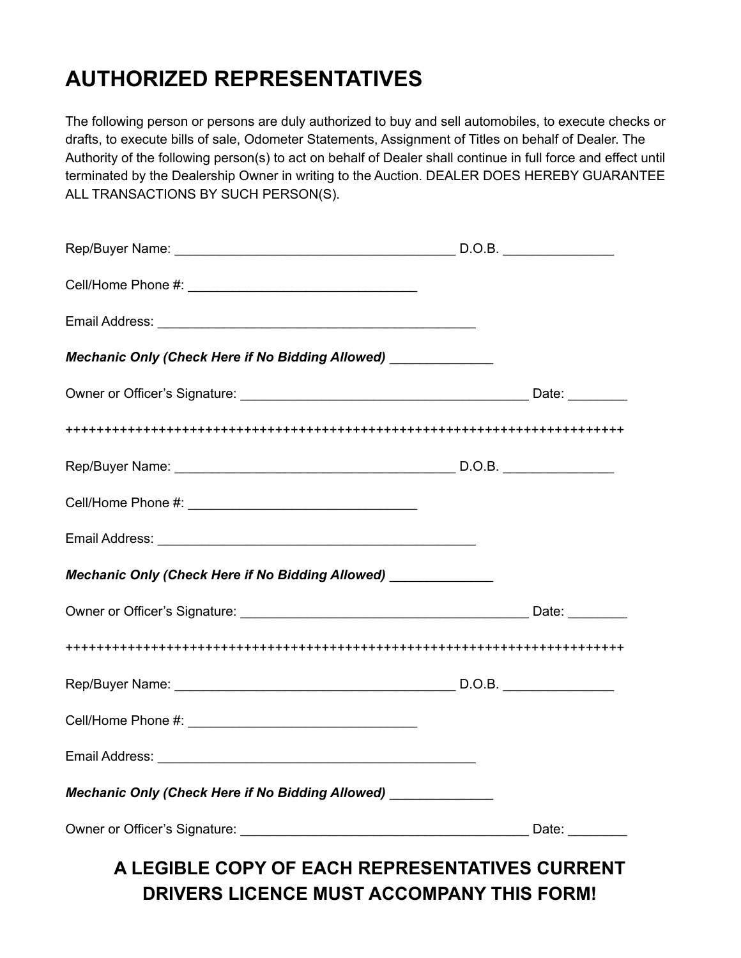### **AUTHORIZED REPRESENTATIVES**

The following person or persons are duly authorized to buy and sell automobiles, to execute checks or drafts, to execute bills of sale, Odometer Statements, Assignment of Titles on behalf of Dealer. The Authority of the following person(s) to act on behalf of Dealer shall continue in full force and effect until terminated by the Dealership Owner in writing to the Auction. DEALER DOES HEREBY GUARANTEE ALL TRANSACTIONS BY SUCH PERSON(S).

| Mechanic Only (Check Here if No Bidding Allowed) _____________  |  |
|-----------------------------------------------------------------|--|
|                                                                 |  |
|                                                                 |  |
|                                                                 |  |
|                                                                 |  |
|                                                                 |  |
| Mechanic Only (Check Here if No Bidding Allowed) _____________  |  |
|                                                                 |  |
|                                                                 |  |
|                                                                 |  |
|                                                                 |  |
|                                                                 |  |
| Mechanic Only (Check Here if No Bidding Allowed) ______________ |  |
|                                                                 |  |
| A LEGIBLE COPY OF EACH REPRESENTATIVES CURRENT                  |  |

**DRIVERS LICENCE MUST ACCOMPANY THIS FORM!**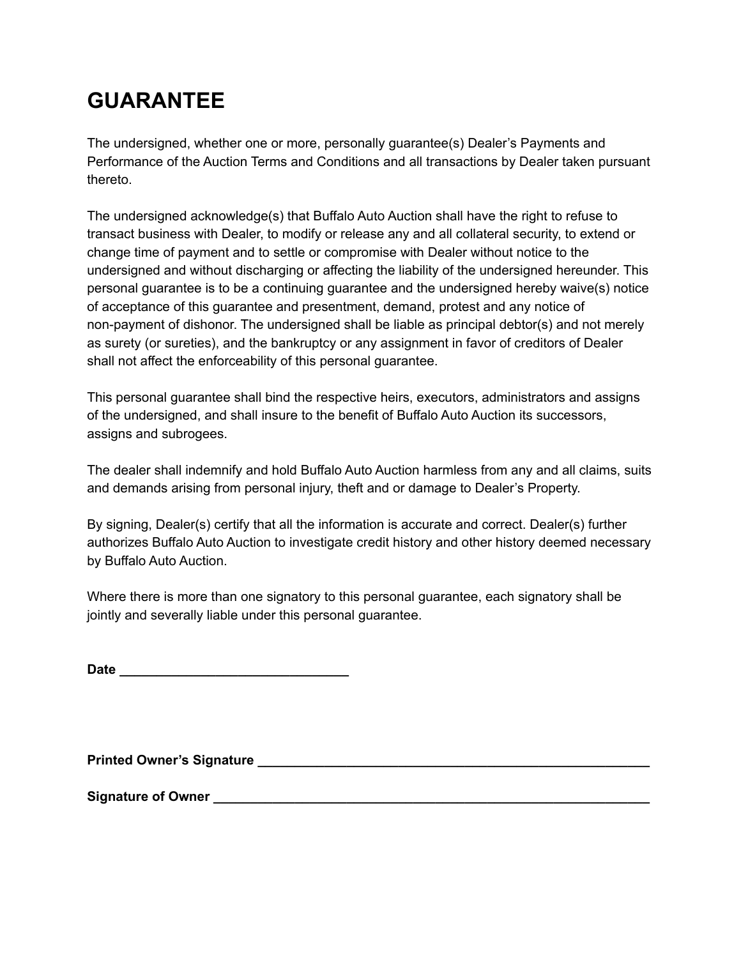# **GUARANTEE**

The undersigned, whether one or more, personally guarantee(s) Dealer's Payments and Performance of the Auction Terms and Conditions and all transactions by Dealer taken pursuant thereto.

The undersigned acknowledge(s) that Buffalo Auto Auction shall have the right to refuse to transact business with Dealer, to modify or release any and all collateral security, to extend or change time of payment and to settle or compromise with Dealer without notice to the undersigned and without discharging or affecting the liability of the undersigned hereunder. This personal guarantee is to be a continuing guarantee and the undersigned hereby waive(s) notice of acceptance of this guarantee and presentment, demand, protest and any notice of non-payment of dishonor. The undersigned shall be liable as principal debtor(s) and not merely as surety (or sureties), and the bankruptcy or any assignment in favor of creditors of Dealer shall not affect the enforceability of this personal guarantee.

This personal guarantee shall bind the respective heirs, executors, administrators and assigns of the undersigned, and shall insure to the benefit of Buffalo Auto Auction its successors, assigns and subrogees.

The dealer shall indemnify and hold Buffalo Auto Auction harmless from any and all claims, suits and demands arising from personal injury, theft and or damage to Dealer's Property.

By signing, Dealer(s) certify that all the information is accurate and correct. Dealer(s) further authorizes Buffalo Auto Auction to investigate credit history and other history deemed necessary by Buffalo Auto Auction.

Where there is more than one signatory to this personal guarantee, each signatory shall be jointly and severally liable under this personal guarantee.

| <b>Date</b> |  |  |  |  |  |  |
|-------------|--|--|--|--|--|--|
|             |  |  |  |  |  |  |

**Printed Owner's Signature \_\_\_\_\_\_\_\_\_\_\_\_\_\_\_\_\_\_\_\_\_\_\_\_\_\_\_\_\_\_\_\_\_\_\_\_\_\_\_\_\_\_\_\_\_\_\_\_\_\_\_\_\_**

**Signature of Owner \_\_\_\_\_\_\_\_\_\_\_\_\_\_\_\_\_\_\_\_\_\_\_\_\_\_\_\_\_\_\_\_\_\_\_\_\_\_\_\_\_\_\_\_\_\_\_\_\_\_\_\_\_\_\_\_\_\_\_**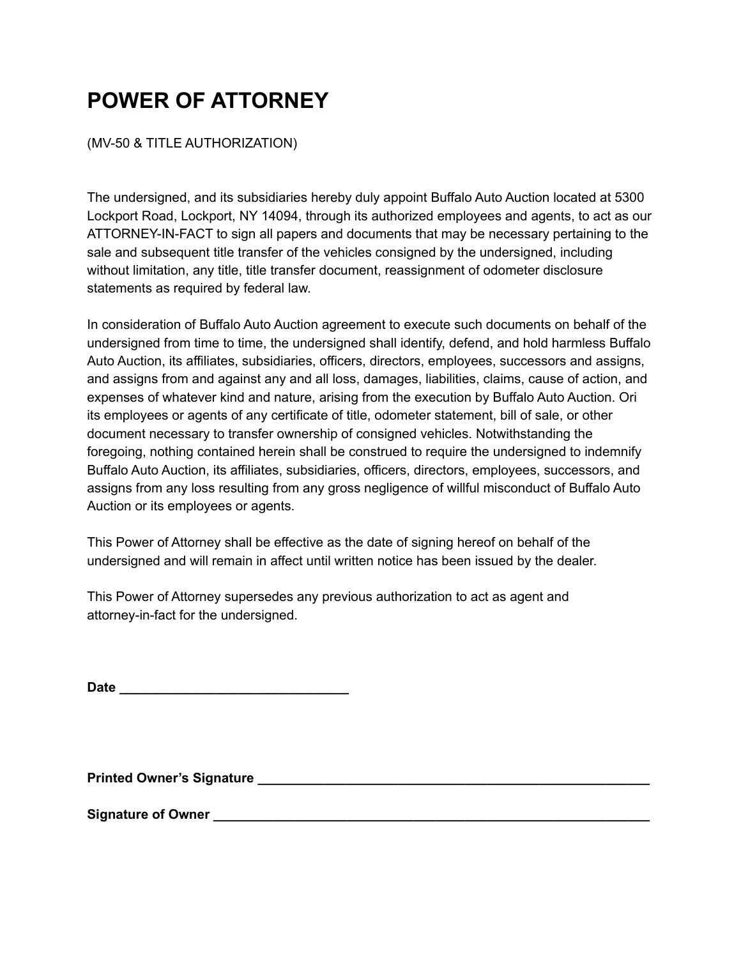## **POWER OF ATTORNEY**

#### (MV-50 & TITLE AUTHORIZATION)

The undersigned, and its subsidiaries hereby duly appoint Buffalo Auto Auction located at 5300 Lockport Road, Lockport, NY 14094, through its authorized employees and agents, to act as our ATTORNEY-IN-FACT to sign all papers and documents that may be necessary pertaining to the sale and subsequent title transfer of the vehicles consigned by the undersigned, including without limitation, any title, title transfer document, reassignment of odometer disclosure statements as required by federal law.

In consideration of Buffalo Auto Auction agreement to execute such documents on behalf of the undersigned from time to time, the undersigned shall identify, defend, and hold harmless Buffalo Auto Auction, its affiliates, subsidiaries, officers, directors, employees, successors and assigns, and assigns from and against any and all loss, damages, liabilities, claims, cause of action, and expenses of whatever kind and nature, arising from the execution by Buffalo Auto Auction. Ori its employees or agents of any certificate of title, odometer statement, bill of sale, or other document necessary to transfer ownership of consigned vehicles. Notwithstanding the foregoing, nothing contained herein shall be construed to require the undersigned to indemnify Buffalo Auto Auction, its affiliates, subsidiaries, officers, directors, employees, successors, and assigns from any loss resulting from any gross negligence of willful misconduct of Buffalo Auto Auction or its employees or agents.

This Power of Attorney shall be effective as the date of signing hereof on behalf of the undersigned and will remain in affect until written notice has been issued by the dealer.

This Power of Attorney supersedes any previous authorization to act as agent and attorney-in-fact for the undersigned.

| <b>Date</b> |  |  |  |  |  |  |  |  |  |  |  |  |  |
|-------------|--|--|--|--|--|--|--|--|--|--|--|--|--|
|             |  |  |  |  |  |  |  |  |  |  |  |  |  |

**Printed Owner's Signature \_\_\_\_\_\_\_\_\_\_\_\_\_\_\_\_\_\_\_\_\_\_\_\_\_\_\_\_\_\_\_\_\_\_\_\_\_\_\_\_\_\_\_\_\_\_\_\_\_\_\_\_\_**

**Signature of Owner \_\_\_\_\_\_\_\_\_\_\_\_\_\_\_\_\_\_\_\_\_\_\_\_\_\_\_\_\_\_\_\_\_\_\_\_\_\_\_\_\_\_\_\_\_\_\_\_\_\_\_\_\_\_\_\_\_\_\_**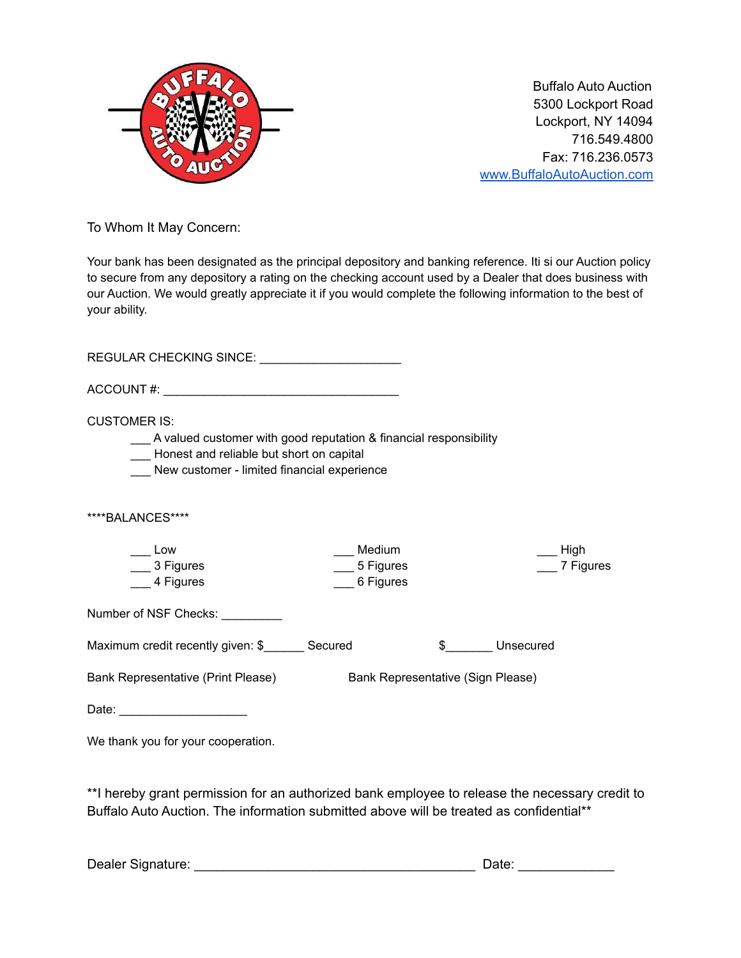

Buffalo Auto Auction 5300 Lockport Road Lockport, NY 14094 716.549.4800 Fax: 716.236.0573 [www.BuffaloAutoAuction.com](http://www.buffaloautoauction.com)

To Whom It May Concern:

Your bank has been designated as the principal depository and banking reference. Iti si our Auction policy to secure from any depository a rating on the checking account used by a Dealer that does business with our Auction. We would greatly appreciate it if you would complete the following information to the best of your ability.

REGULAR CHECKING SINCE: \_\_\_\_\_\_\_\_\_\_\_\_\_\_\_\_\_\_\_\_\_ ACCOUNT #:  $\blacksquare$ CUSTOMER IS: \_\_\_ A valued customer with good reputation & financial responsibility \_\_\_ Honest and reliable but short on capital New customer - limited financial experience \*\*\*\*BALANCES\*\*\*\*  $\equiv$  Low \_\_\_ 3 Figures \_\_\_ 4 Figures \_\_\_ Medium \_\_\_ 5 Figures \_\_\_ 6 Figures \_\_\_ High \_\_\_ 7 Figures Number of NSF Checks: \_\_\_\_\_\_\_\_\_ Maximum credit recently given: \$ \_\_\_\_\_ Secured  $\qquad$  \$ Unsecured Bank Representative (Print Please) Bank Representative (Sign Please) Date: \_\_\_\_\_\_\_\_\_\_\_\_\_\_\_\_\_\_\_ We thank you for your cooperation.

\*\*I hereby grant permission for an authorized bank employee to release the necessary credit to Buffalo Auto Auction. The information submitted above will be treated as confidential\*\*

| Dealer Signature: |
|-------------------|